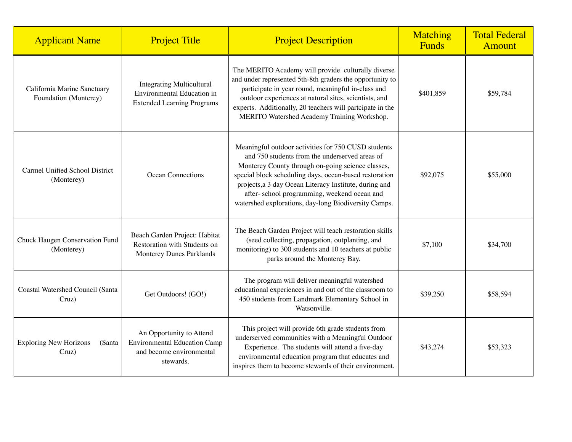| <b>Applicant Name</b>                                | <b>Project Title</b>                                                                                     | <b>Project Description</b>                                                                                                                                                                                                                                                                                                                                                             | Matching<br><b>Funds</b> | <b>Total Federal</b><br>Amount |
|------------------------------------------------------|----------------------------------------------------------------------------------------------------------|----------------------------------------------------------------------------------------------------------------------------------------------------------------------------------------------------------------------------------------------------------------------------------------------------------------------------------------------------------------------------------------|--------------------------|--------------------------------|
| California Marine Sanctuary<br>Foundation (Monterey) | <b>Integrating Multicultural</b><br>Environmental Education in<br><b>Extended Learning Programs</b>      | The MERITO Academy will provide culturally diverse<br>and under represented 5th-8th graders the opportunity to<br>participate in year round, meaningful in-class and<br>outdoor experiences at natural sites, scientists, and<br>experts. Additionally, 20 teachers will partcipate in the<br>MERITO Watershed Academy Training Workshop.                                              | \$401,859                | \$59,784                       |
| Carmel Unified School District<br>(Monterey)         | <b>Ocean Connections</b>                                                                                 | Meaningful outdoor activities for 750 CUSD students<br>and 750 students from the underserved areas of<br>Monterey County through on-going science classes,<br>special block scheduling days, ocean-based restoration<br>projects, a 3 day Ocean Literacy Institute, during and<br>after- school programming, weekend ocean and<br>watershed explorations, day-long Biodiversity Camps. | \$92,075                 | \$55,000                       |
| Chuck Haugen Conservation Fund<br>(Monterey)         | Beach Garden Project: Habitat<br>Restoration with Students on<br>Monterey Dunes Parklands                | The Beach Garden Project will teach restoration skills<br>(seed collecting, propagation, outplanting, and<br>monitoring) to 300 students and 10 teachers at public<br>parks around the Monterey Bay.                                                                                                                                                                                   | \$7,100                  | \$34,700                       |
| <b>Coastal Watershed Council (Santa</b><br>Cruz)     | Get Outdoors! (GO!)                                                                                      | The program will deliver meaningful watershed<br>educational experiences in and out of the classroom to<br>450 students from Landmark Elementary School in<br>Watsonville.                                                                                                                                                                                                             | \$39,250                 | \$58,594                       |
| <b>Exploring New Horizons</b><br>(Santa<br>Cruz)     | An Opportunity to Attend<br><b>Environmental Education Camp</b><br>and become environmental<br>stewards. | This project will provide 6th grade students from<br>underserved communities with a Meaningful Outdoor<br>Experience. The students will attend a five-day<br>environmental education program that educates and<br>inspires them to become stewards of their environment.                                                                                                               | \$43,274                 | \$53,323                       |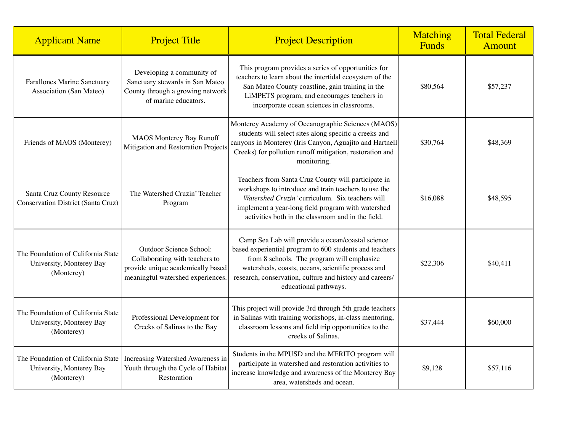| <b>Applicant Name</b>                                                        | <b>Project Title</b>                                                                                                                | <b>Project Description</b>                                                                                                                                                                                                                                                                            | <b>Matching</b><br>Funds | <b>Total Federal</b><br>Amount |
|------------------------------------------------------------------------------|-------------------------------------------------------------------------------------------------------------------------------------|-------------------------------------------------------------------------------------------------------------------------------------------------------------------------------------------------------------------------------------------------------------------------------------------------------|--------------------------|--------------------------------|
| Farallones Marine Sanctuary<br>Association (San Mateo)                       | Developing a community of<br>Sanctuary stewards in San Mateo<br>County through a growing network<br>of marine educators.            | This program provides a series of opportunities for<br>teachers to learn about the intertidal ecosystem of the<br>San Mateo County coastline, gain training in the<br>LiMPETS program, and encourages teachers in<br>incorporate ocean sciences in classrooms.                                        | \$80,564                 | \$57,237                       |
| Friends of MAOS (Monterey)                                                   | <b>MAOS Monterey Bay Runoff</b><br>Mitigation and Restoration Projects                                                              | Monterey Academy of Oceanographic Sciences (MAOS)<br>students will select sites along specific a creeks and<br>canyons in Monterey (Iris Canyon, Aguajito and Hartnell<br>Creeks) for pollution runoff mitigation, restoration and<br>monitoring.                                                     | \$30,764                 | \$48,369                       |
| Santa Cruz County Resource<br><b>Conservation District (Santa Cruz)</b>      | The Watershed Cruzin' Teacher<br>Program                                                                                            | Teachers from Santa Cruz County will participate in<br>workshops to introduce and train teachers to use the<br>Watershed Cruzin' curriculum. Six teachers will<br>implement a year-long field program with watershed<br>activities both in the classroom and in the field.                            | \$16,088                 | \$48,595                       |
| The Foundation of California State<br>University, Monterey Bay<br>(Monterey) | Outdoor Science School:<br>Collaborating with teachers to<br>provide unique academically based<br>meaningful watershed experiences. | Camp Sea Lab will provide a ocean/coastal science<br>based experiential program to 600 students and teachers<br>from 8 schools. The program will emphasize<br>watersheds, coasts, oceans, scientific process and<br>research, conservation, culture and history and careers/<br>educational pathways. | \$22,306                 | \$40,411                       |
| The Foundation of California State<br>University, Monterey Bay<br>(Monterey) | Professional Development for<br>Creeks of Salinas to the Bay                                                                        | This project will provide 3rd through 5th grade teachers<br>in Salinas with training workshops, in-class mentoring,<br>classroom lessons and field trip opportunities to the<br>creeks of Salinas.                                                                                                    | \$37,444                 | \$60,000                       |
| The Foundation of California State<br>University, Monterey Bay<br>(Monterey) | Increasing Watershed Awareness in<br>Youth through the Cycle of Habitat<br>Restoration                                              | Students in the MPUSD and the MERITO program will<br>participate in watershed and restoration activities to<br>increase knowledge and awareness of the Monterey Bay<br>area, watersheds and ocean.                                                                                                    | \$9,128                  | \$57,116                       |